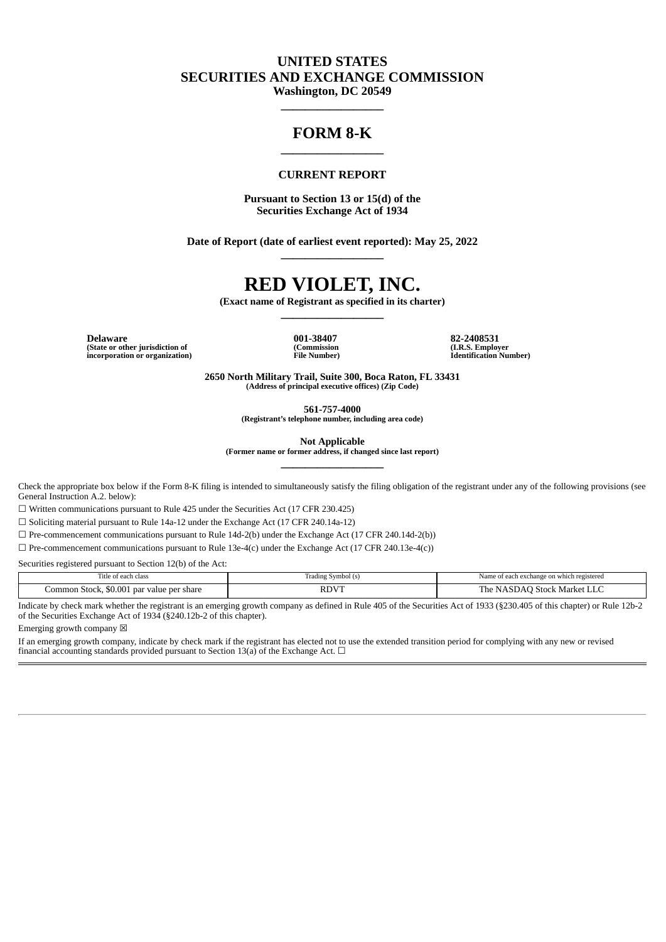# **UNITED STATES SECURITIES AND EXCHANGE COMMISSION Washington, DC 20549**

**\_\_\_\_\_\_\_\_\_\_\_\_\_\_\_\_\_**

# **FORM 8-K \_\_\_\_\_\_\_\_\_\_\_\_\_\_\_\_\_**

#### **CURRENT REPORT**

**Pursuant to Section 13 or 15(d) of the Securities Exchange Act of 1934**

**Date of Report (date of earliest event reported): May 25, 2022 \_\_\_\_\_\_\_\_\_\_\_\_\_\_\_\_\_**

# **RED VIOLET, INC.**

**(Exact name of Registrant as specified in its charter) \_\_\_\_\_\_\_\_\_\_\_\_\_\_\_\_\_**

**Delaware (State or other jurisdiction of incorporation or organization)** **001-38407 (Commission File Number)** **82-2408531 (I.R.S. Employer Identification Number)**

**2650 North Military Trail, Suite 300, Boca Raton, FL 33431 (Address of principal executive offices) (Zip Code)**

**561-757-4000**

**(Registrant's telephone number, including area code)**

**Not Applicable**

**(Former name or former address, if changed since last report) \_\_\_\_\_\_\_\_\_\_\_\_\_\_\_\_\_**

Check the appropriate box below if the Form 8-K filing is intended to simultaneously satisfy the filing obligation of the registrant under any of the following provisions (see General Instruction A.2. below):

☐ Written communications pursuant to Rule 425 under the Securities Act (17 CFR 230.425)

☐ Soliciting material pursuant to Rule 14a-12 under the Exchange Act (17 CFR 240.14a-12)

 $\Box$  Pre-commencement communications pursuant to Rule 14d-2(b) under the Exchange Act (17 CFR 240.14d-2(b))

☐ Pre-commencement communications pursuant to Rule 13e-4(c) under the Exchange Act (17 CFR 240.13e-4(c))

Securities registered pursuant to Section 12(b) of the Act:

| --<br>ı class                                             | Symbol (s)<br>radıng | Name of each exchange on which registered                                                                                                           |
|-----------------------------------------------------------|----------------------|-----------------------------------------------------------------------------------------------------------------------------------------------------|
| \$0.001<br>.ommon<br>Stock.<br>r value per share<br>. par | $RDV^{\tau}$         | The<br>-stock<br>Market<br>. נור<br>the contract of the contract of the contract of the contract of the contract of the contract of the contract of |

Indicate by check mark whether the registrant is an emerging growth company as defined in Rule 405 of the Securities Act of 1933 (§230.405 of this chapter) or Rule 12b-2 of the Securities Exchange Act of 1934 (§240.12b-2 of this chapter).

Emerging growth company  $\boxtimes$ 

If an emerging growth company, indicate by check mark if the registrant has elected not to use the extended transition period for complying with any new or revised financial accounting standards provided pursuant to Section 13(a) of the Exchange Act.  $\Box$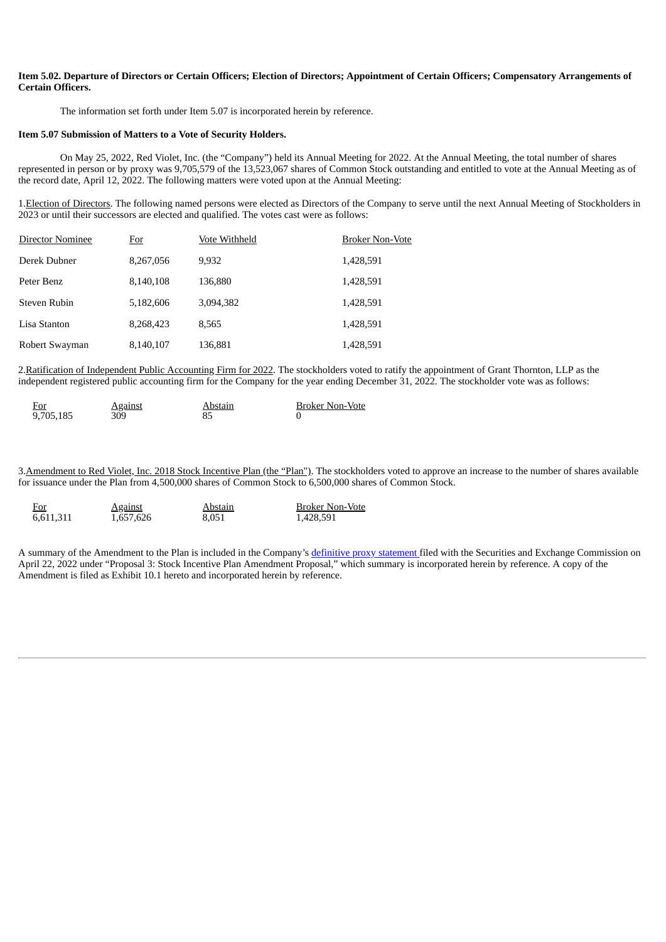#### Item 5.02. Departure of Directors or Certain Officers; Election of Directors; Appointment of Certain Officers; Compensatory Arrangements of **Certain Officers.**

The information set forth under Item 5.07 is incorporated herein by reference.

#### **Item 5.07 Submission of Matters to a Vote of Security Holders.**

On May 25, 2022, Red Violet, Inc. (the "Company") held its Annual Meeting for 2022. At the Annual Meeting, the total number of shares represented in person or by proxy was 9,705,579 of the 13,523,067 shares of Common Stock outstanding and entitled to vote at the Annual Meeting as of the record date, April 12, 2022. The following matters were voted upon at the Annual Meeting:

1.Election of Directors. The following named persons were elected as Directors of the Company to serve until the next Annual Meeting of Stockholders in 2023 or until their successors are elected and qualified. The votes cast were as follows:

| Director Nominee | <u>For</u> | Vote Withheld | <b>Broker Non-Vote</b> |
|------------------|------------|---------------|------------------------|
| Derek Dubner     | 8,267,056  | 9,932         | 1,428,591              |
| Peter Benz       | 8,140,108  | 136,880       | 1,428,591              |
| Steven Rubin     | 5,182,606  | 3.094.382     | 1,428,591              |
| Lisa Stanton     | 8,268,423  | 8.565         | 1,428,591              |
| Robert Swayman   | 8,140,107  | 136,881       | 1,428,591              |

2.Ratification of Independent Public Accounting Firm for 2022. The stockholders voted to ratify the appointment of Grant Thornton, LLP as the independent registered public accounting firm for the Company for the year ending December 31, 2022. The stockholder vote was as follows:

| <u>For</u> | <b>Against</b> | Abstain | <b>Broker Non-Vote</b> |
|------------|----------------|---------|------------------------|
| 9,705,185  | 309            |         |                        |

3. Amendment to Red Violet, Inc. 2018 Stock Incentive Plan (the "Plan"). The stockholders voted to approve an increase to the number of shares available for issuance under the Plan from 4,500,000 shares of Common Stock to 6,500,000 shares of Common Stock.

| <u>For</u> | <b>Against</b> | Abstain | <b>Broker Non-Vote</b> |
|------------|----------------|---------|------------------------|
| 6,611,311  | 1,657,626      | 8.051   | 1,428,591              |

A summary of the Amendment to the Plan is included in the Company's [definitive](https://www.sec.gov/Archives/edgar/data/0001720116/000119312522115150/d300333ddef14a.htm) proxy statement filed with the Securities and Exchange Commission on April 22, 2022 under "Proposal 3: Stock Incentive Plan Amendment Proposal," which summary is incorporated herein by reference. A copy of the Amendment is filed as Exhibit 10.1 hereto and incorporated herein by reference.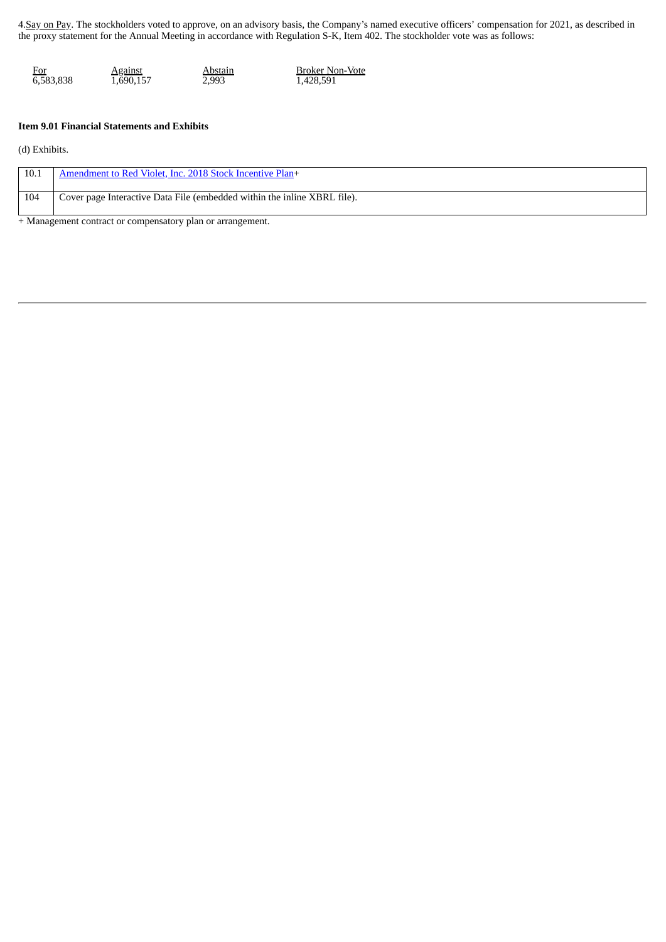4.Say on Pay. The stockholders voted to approve, on an advisory basis, the Company's named executive officers' compensation for 2021, as described in the proxy statement for the Annual Meeting in accordance with Regulation S-K, Item 402. The stockholder vote was as follows:

| <u>For</u> | <b>Against</b> | Abstain | <b>Broker Non-Vote</b> |
|------------|----------------|---------|------------------------|
| 6,583,838  | 1,690,157      | 2,993   | 1,428,591              |

#### **Item 9.01 Financial Statements and Exhibits**

(d) Exhibits.

| 10.1 | Amendment to Red Violet, Inc. 2018 Stock Incentive Plan+                 |
|------|--------------------------------------------------------------------------|
| 104  | Cover page Interactive Data File (embedded within the inline XBRL file). |

+ Management contract or compensatory plan or arrangement.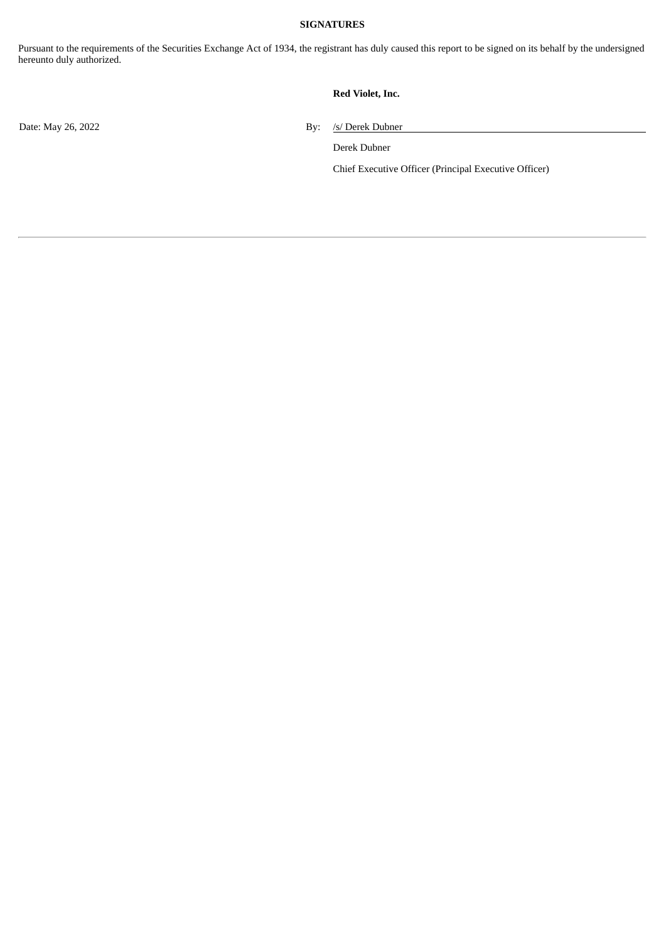### **SIGNATURES**

Pursuant to the requirements of the Securities Exchange Act of 1934, the registrant has duly caused this report to be signed on its behalf by the undersigned hereunto duly authorized.

## **Red Violet, Inc.**

Date: May 26, 2022 By: /s/ Derek Dubner

Derek Dubner

Chief Executive Officer (Principal Executive Officer)